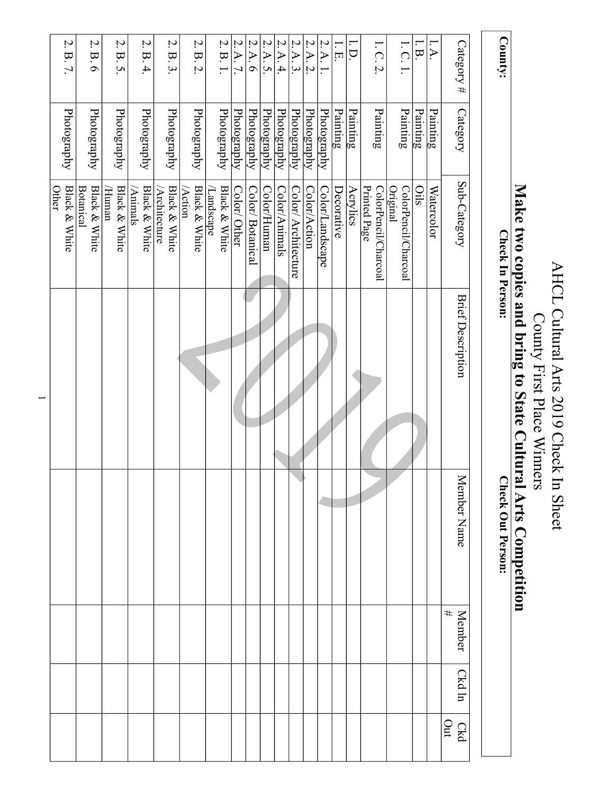| County:                                             |             | Check In Person:                             |                          | ◠<br>heck Out Person: |                    |        |            |
|-----------------------------------------------------|-------------|----------------------------------------------|--------------------------|-----------------------|--------------------|--------|------------|
| $\text{Category}$ #                                 | Category    | Sub-Category                                 | <b>Brief Description</b> | Member Name           | #<br><b>Member</b> | Ckd ln | Out<br>Ckd |
| $\blacktriangleleft$                                | Painting    | Watercolor                                   |                          |                       |                    |        |            |
| $\overline{\phantom{a}}$                            | Painting    | Oils                                         |                          |                       |                    |        |            |
| 1. C. 1.                                            | Painting    | Original<br>ColorPencil/Charcoal             |                          |                       |                    |        |            |
| 1.C.2.                                              | Painting    | Printed Page<br>ColorPencil/Charcoal         |                          |                       |                    |        |            |
| $\overline{\phantom{0}}$<br>D.                      | Painting    | Acrylics                                     |                          |                       |                    |        |            |
| $1.$ E.                                             | Painting    | Decorative                                   |                          |                       |                    |        |            |
| Z.<br>$\blacktriangleleft$                          | Photography | Color/Landscape                              |                          |                       |                    |        |            |
| $\mathcal{L}$<br>$\blacktriangle$<br>$\mathcal{L}$  | Photography | Color/Action                                 |                          |                       |                    |        |            |
| 2.A.3.                                              | Photography | Color/ Architecture                          |                          |                       |                    |        |            |
| 2.A.4.                                              | Photography | Color/Animals                                |                          |                       |                    |        |            |
| $\mathcal{L}$<br>$\blacktriangle$<br>$\mathcal{L}.$ | Photography | Color/Human                                  |                          |                       |                    |        |            |
| 2.A.6                                               | Photography | Color/ Botanical                             |                          |                       |                    |        |            |
| 2.A.7                                               | Photography | Color/ Other                                 |                          |                       |                    |        |            |
| 2. B. 1.                                            | Photography | Black & White<br>Landscape <sup>1</sup>      |                          |                       |                    |        |            |
| Z.<br>B.2.                                          | Photography | <b>Black &amp; White</b><br>$A$ ction        |                          |                       |                    |        |            |
| $2.\overline{B}.\overline{3}$                       | Photography | Black & White<br>$\Delta$ rchitecture        |                          |                       |                    |        |            |
| 2. B.4                                              | Photography | <b>Black &amp; White</b><br>(Animals         |                          |                       |                    |        |            |
| 2. B. 5                                             | Photography | <b>Black &amp; White</b><br>Human<br>H       |                          |                       |                    |        |            |
| Z.<br>B.6                                           | Photography | <b>Black &amp; White</b><br><b>Botanical</b> |                          |                       |                    |        |            |
| Z.<br>B. 7.                                         | Photography | <b>Black &amp; White</b><br>Other            |                          |                       |                    |        |            |

AHCL Cultural Arts 2019 Check In Sheet

County First Place Winners **Make two copies and bring to State Cultural Arts Competition**

AHCL Cultural Arts 2019 Check In Sheet<br>County First Place Winners

Make two copies and bring to State Cultural Arts Competition

**Check Out Person:** 

1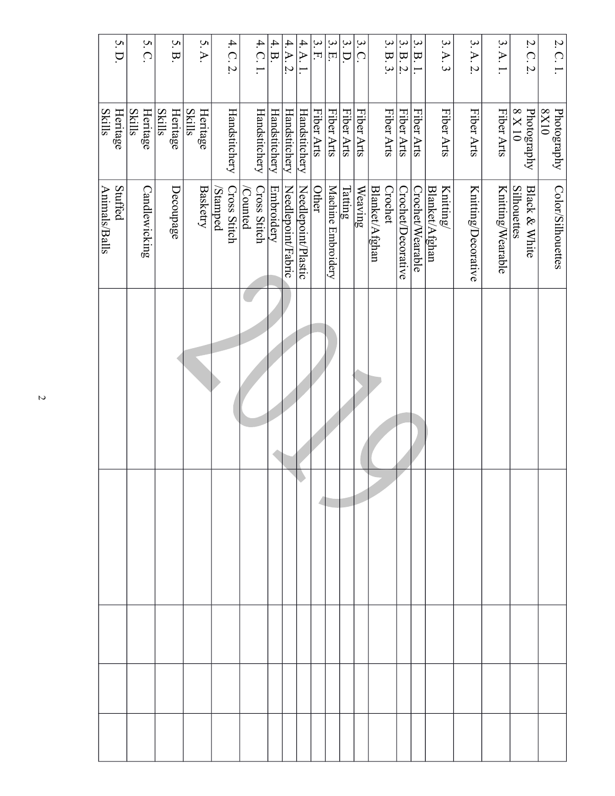| 5. D.                     | 5. C.                     | 5. B.                     | 5.A.                      | 4. C. 2                         | 4. C. 1.                       | 4. B.         | 4.A.2.             | $4.A$               | 3. F       | 3.E                | $\mathfrak{a}$ .<br>D.  | $3.\overline{C}$ | 3. B. 3.                  | 3. B. 2.           | 3. B. 1.         | 3.A.3                       | 3.A.2               | 3.A.1             | 2.C.2                                          | 2. C. 1.            |
|---------------------------|---------------------------|---------------------------|---------------------------|---------------------------------|--------------------------------|---------------|--------------------|---------------------|------------|--------------------|-------------------------|------------------|---------------------------|--------------------|------------------|-----------------------------|---------------------|-------------------|------------------------------------------------|---------------------|
| Heritage<br><b>Skills</b> | <b>Skills</b><br>Heritage | <b>Skills</b><br>Heritage | <b>Skills</b><br>Heritage | Handstitchery                   | Handstitchery                  | Handstitchery | Handstitchery      | Handstitchery       | Fiber Arts | Fiber Arts         | Fiber Arts              | Fiber Arts       | Fiber Arts                | Fiber Arts         | Fiber Arts       | Fiber Arts                  | Fiber Arts          | Fiber Arts        | $\frac{\text{Photography}}{8 \times 10}$       | Photography<br>0IX8 |
| Stuffed<br>Animals/Balls  | Candlewicking             | Decoupage                 | <b>Basketry</b>           | <b>Cross Stitch</b><br>/Stamped | <b>Cross Stitch</b><br>Counted | Embroidery    | Needlepoint/Fabric | Needlepoint/Plastic | Other      | Machine Embroidery | $\overline{\text{sum}}$ | Weaving          | Crochet<br>Blanket/Afghan | Crochet/Decorative | Crochet/Wearable | Knitting/<br>Blanket/Afghan | Knitting/Decorative | Knitting/Wearable | <b>Silhouettes</b><br><b>Black &amp; White</b> | Color/Silhouettes   |
|                           |                           |                           |                           |                                 |                                |               |                    |                     |            |                    |                         |                  |                           |                    |                  |                             |                     |                   |                                                |                     |
|                           |                           |                           |                           |                                 |                                |               |                    |                     |            |                    |                         |                  |                           |                    |                  |                             |                     |                   |                                                |                     |
|                           |                           |                           |                           |                                 |                                |               |                    |                     |            |                    |                         |                  |                           |                    |                  |                             |                     |                   |                                                |                     |
|                           |                           |                           |                           |                                 |                                |               |                    |                     |            |                    |                         |                  |                           |                    |                  |                             |                     |                   |                                                |                     |
|                           |                           |                           |                           |                                 |                                |               |                    |                     |            |                    |                         |                  |                           |                    |                  |                             |                     |                   |                                                |                     |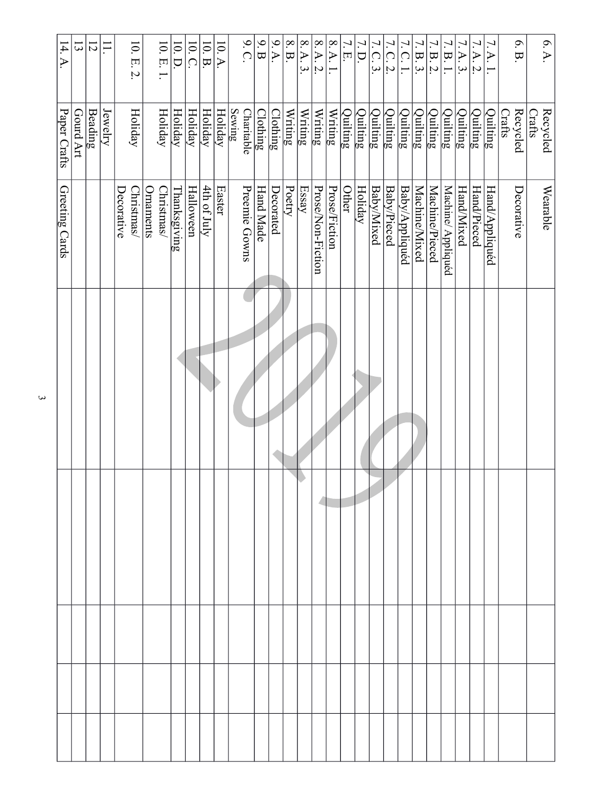| 14.A           | $\Xi$     | $\overline{z}$ | $\overline{\phantom{0}}$ | $10.E.2.$                       |           | $10.E.1.$        | $10.$ D. $\,$  | 10.C.          | 10. B.      | 10.A          | 9. C.                       | $9. \, \mathrm{B}$ | $\frac{9}{9}$ | $8.\,\mathrm{B}$ | 8.A.3.                                           | $8.A.2.$          | $8.\,\mathrm{A}.$ | 7.<br>$\overline{\Pi}$ | 7.<br>D.                    | Ζ.<br>$\lvert \Omega \rvert$<br>$\omega$ | 7. C. 2.    | 7. C. 1.                               | 7. B. 3.               | 7. B. 2.       | 7. B. 1.           | $\overline{A}.3$  | $\blacktriangleright$<br>$\mathcal{A}$ | $7.A.1.$                               | 6.B.               | 6. A.              |
|----------------|-----------|----------------|--------------------------|---------------------------------|-----------|------------------|----------------|----------------|-------------|---------------|-----------------------------|--------------------|---------------|------------------|--------------------------------------------------|-------------------|-------------------|------------------------|-----------------------------|------------------------------------------|-------------|----------------------------------------|------------------------|----------------|--------------------|-------------------|----------------------------------------|----------------------------------------|--------------------|--------------------|
| Paper Crafts   | Gourd Art | <b>Beading</b> | Jewelry                  | Holiday                         |           | Holiday          | <b>Holiday</b> | <b>Holiday</b> | Holiday     | Holiday       | <b>Sewing</b><br>Charitable | $\frac{1}{2}$      | Clothing      | Writing          | $\overline{\text{Writing}}$                      | Writing           | Writing           | Quilting               | $\overline{\text{Quiling}}$ | Quilting                                 | Quilting    | $\overline{\overline{\text{Quiling}}}$ | $\overline{Q}$ uilting | Quilting       | Quilting           | $\rm{Quiling}$    | Quilting                               | $\overline{\overline{\text{Quiling}}}$ | Recycled<br>Crafts | Recycled<br>Crafts |
| Greeting Cards |           |                |                          | Decorative<br><b>Christmas/</b> | Ornaments | <b>Christmas</b> | Thanksgiving   | Halloween      | 4th of July | <b>Easter</b> | Preemie Gowns               | Hand Made          | Decorated     | Poetry           | $\operatorname{\mathrm{Ess}}\nolimits\mathbf{a}$ | Prose/Non-Fiction | Prose/Fiction     | Other                  | <b>Holiday</b>              | <b>Baby/Mixed</b>                        | Baby/Pieced | Baby/Appliquéd                         | Machine/Mixed          | Machine/Pieced | Machine/ Appliquéd | <b>Hand/Mixed</b> | Hand/Pieced                            | Hand/Appliquéd                         | Decorative         | Wearable           |
|                |           |                |                          |                                 |           |                  |                |                |             |               |                             |                    |               |                  |                                                  |                   |                   |                        |                             |                                          |             |                                        |                        |                |                    |                   |                                        |                                        |                    |                    |
|                |           |                |                          |                                 |           |                  |                |                |             |               |                             |                    |               |                  |                                                  |                   |                   |                        |                             |                                          |             |                                        |                        |                |                    |                   |                                        |                                        |                    |                    |
|                |           |                |                          |                                 |           |                  |                |                |             |               |                             |                    |               |                  |                                                  |                   |                   |                        |                             |                                          |             |                                        |                        |                |                    |                   |                                        |                                        |                    |                    |
|                |           |                |                          |                                 |           |                  |                |                |             |               |                             |                    |               |                  |                                                  |                   |                   |                        |                             |                                          |             |                                        |                        |                |                    |                   |                                        |                                        |                    |                    |